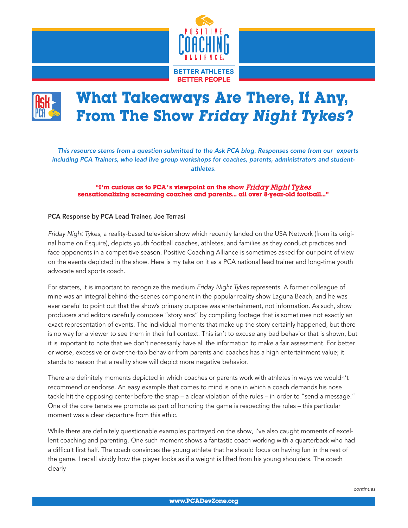

## What Takeaways Are There, If Any, From The Show Friday Night Tykes?

*This resource stems from a question submitted to the Ask PCA blog. Responses come from our experts including PCA Trainers, who lead live group workshops for coaches, parents, administrators and studentathletes.*

## "I'm curious as to PCA's viewpoint on the show Friday Night Tykes sensationalizing screaming coaches and parents... all over 8-year-old football..."

## PCA Response by PCA Lead Trainer, Joe Terrasi

*Friday Night Tykes*, a reality-based television show which recently landed on the USA Network (from its original home on Esquire), depicts youth football coaches, athletes, and families as they conduct practices and face opponents in a competitive season. Positive Coaching Alliance is sometimes asked for our point of view on the events depicted in the show. Here is my take on it as a PCA national lead trainer and long-time youth advocate and sports coach.

For starters, it is important to recognize the medium *Friday Night Tykes* represents. A former colleague of mine was an integral behind-the-scenes component in the popular reality show Laguna Beach, and he was ever careful to point out that the show's primary purpose was entertainment, not information. As such, show producers and editors carefully compose "story arcs" by compiling footage that is sometimes not exactly an exact representation of events. The individual moments that make up the story certainly happened, but there is no way for a viewer to see them in their full context. This isn't to excuse any bad behavior that is shown, but it is important to note that we don't necessarily have all the information to make a fair assessment. For better or worse, excessive or over-the-top behavior from parents and coaches has a high entertainment value; it stands to reason that a reality show will depict more negative behavior.

There are definitely moments depicted in which coaches or parents work with athletes in ways we wouldn't recommend or endorse. An easy example that comes to mind is one in which a coach demands his nose tackle hit the opposing center before the snap – a clear violation of the rules – in order to "send a message." One of the core tenets we promote as part of honoring the game is respecting the rules – this particular moment was a clear departure from this ethic.

While there are definitely questionable examples portrayed on the show, I've also caught moments of excellent coaching and parenting. One such moment shows a fantastic coach working with a quarterback who had a difficult first half. The coach convinces the young athlete that he should focus on having fun in the rest of the game. I recall vividly how the player looks as if a weight is lifted from his young shoulders. The coach clearly